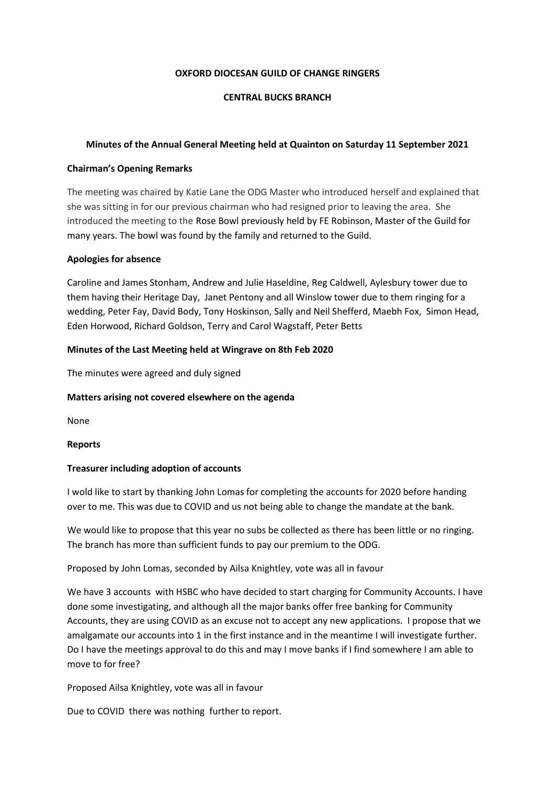#### **OXFORD DIOCESAN GUILD OF CHANGE RINGERS**

# **CENTRAL BUCKS BRANCH**

# **Minutes of the Annual General Meeting held at Quainton on Saturday 11 September 2021**

## **Chairman's Opening Remarks**

The meeting was chaired by Katie Lane the ODG Master who introduced herself and explained that she was sitting in for our previous chairman who had resigned prior to leaving the area. She introduced the meeting to the Rose Bowl previously held by FE Robinson, Master of the Guild for many years. The bowl was found by the family and returned to the Guild.

## **Apologies for absence**

Caroline and James Stonham, Andrew and Julie Haseldine, Reg Caldwell, Aylesbury tower due to them having their Heritage Day, Janet Pentony and all Winslow tower due to them ringing for a wedding, Peter Fay, David Body, Tony Hoskinson, Sally and Neil Shefferd, Maebh Fox, Simon Head, Eden Horwood, Richard Goldson, Terry and Carol Wagstaff, Peter Betts

## **Minutes of the Last Meeting held at Wingrave on 8th Feb 2020**

The minutes were agreed and duly signed

#### **Matters arising not covered elsewhere on the agenda**

None

**Reports** 

## **Treasurer including adoption of accounts**

I wold like to start by thanking John Lomas for completing the accounts for 2020 before handing over to me. This was due to COVID and us not being able to change the mandate at the bank.

We would like to propose that this year no subs be collected as there has been little or no ringing. The branch has more than sufficient funds to pay our premium to the ODG.

Proposed by John Lomas, seconded by Ailsa Knightley, vote was all in favour

We have 3 accounts with HSBC who have decided to start charging for Community Accounts. I have done some investigating, and although all the major banks offer free banking for Community Accounts, they are using COVID as an excuse not to accept any new applications. I propose that we amalgamate our accounts into 1 in the first instance and in the meantime I will investigate further. Do I have the meetings approval to do this and may I move banks if I find somewhere I am able to move to for free?

Proposed Ailsa Knightley, vote was all in favour

Due to COVID there was nothing further to report.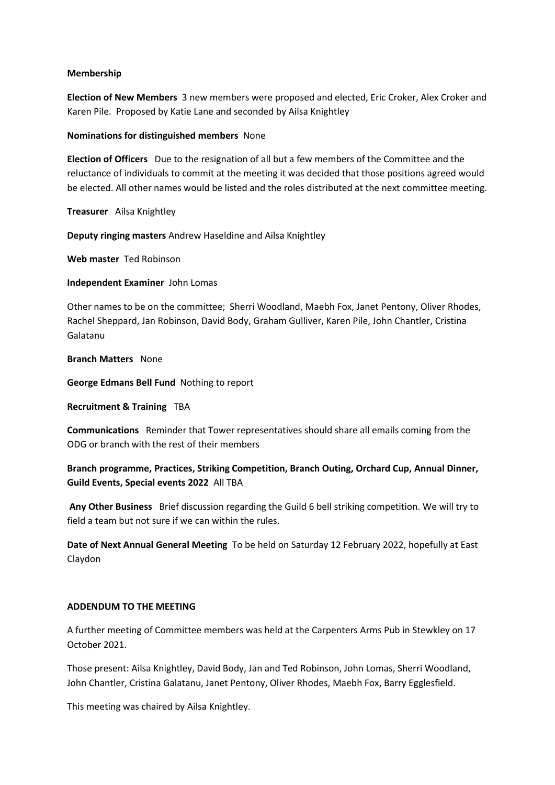#### **Membership**

**Election of New Members** 3 new members were proposed and elected, Eric Croker, Alex Croker and Karen Pile. Proposed by Katie Lane and seconded by Ailsa Knightley

#### **Nominations for distinguished members** None

**Election of Officers** Due to the resignation of all but a few members of the Committee and the reluctance of individuals to commit at the meeting it was decided that those positions agreed would be elected. All other names would be listed and the roles distributed at the next committee meeting.

**Treasurer** Ailsa Knightley

**Deputy ringing masters** Andrew Haseldine and Ailsa Knightley

**Web master** Ted Robinson

**Independent Examiner** John Lomas

Other names to be on the committee; Sherri Woodland, Maebh Fox, Janet Pentony, Oliver Rhodes, Rachel Sheppard, Jan Robinson, David Body, Graham Gulliver, Karen Pile, John Chantler, Cristina Galatanu

**Branch Matters** None

**George Edmans Bell Fund** Nothing to report

**Recruitment & Training** TBA

**Communications** Reminder that Tower representatives should share all emails coming from the ODG or branch with the rest of their members

**Branch programme, Practices, Striking Competition, Branch Outing, Orchard Cup, Annual Dinner, Guild Events, Special events 2022** All TBA

**Any Other Business** Brief discussion regarding the Guild 6 bell striking competition. We will try to field a team but not sure if we can within the rules.

**Date of Next Annual General Meeting** To be held on Saturday 12 February 2022, hopefully at East Claydon

# **ADDENDUM TO THE MEETING**

A further meeting of Committee members was held at the Carpenters Arms Pub in Stewkley on 17 October 2021.

Those present: Ailsa Knightley, David Body, Jan and Ted Robinson, John Lomas, Sherri Woodland, John Chantler, Cristina Galatanu, Janet Pentony, Oliver Rhodes, Maebh Fox, Barry Egglesfield.

This meeting was chaired by Ailsa Knightley.